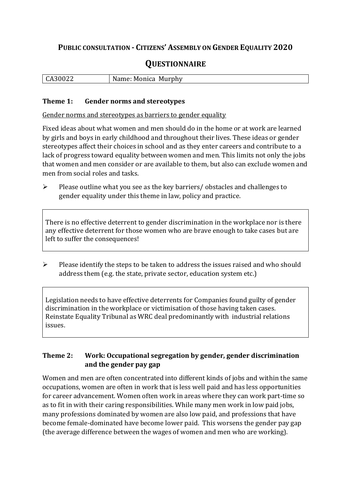## **PUBLIC CONSULTATION - CITIZENS' ASSEMBLY ON GENDER EQUALITY 2020**

# **QUESTIONNAIRE**

|  | CA30022 | Name: Monica Murphy |
|--|---------|---------------------|
|--|---------|---------------------|

#### **Theme 1: Gender norms and stereotypes**

Gender norms and stereotypes as barriers to gender equality

Fixed ideas about what women and men should do in the home or at work are learned by girls and boys in early childhood and throughout their lives. These ideas or gender stereotypes affect their choices in school and as they enter careers and contribute to a lack of progress toward equality between women and men. This limits not only the jobs that women and men consider or are available to them, but also can exclude women and men from social roles and tasks.

➢ Please outline what you see as the key barriers/ obstacles and challenges to gender equality under this theme in law, policy and practice.

There is no effective deterrent to gender discrimination in the workplace nor is there any effective deterrent for those women who are brave enough to take cases but are left to suffer the consequences!

➢ Please identify the steps to be taken to address the issues raised and who should address them (e.g. the state, private sector, education system etc.)

Legislation needs to have effective deterrents for Companies found guilty of gender discrimination in the workplace or victimisation of those having taken cases. Reinstate Equality Tribunal as WRC deal predominantly with industrial relations issues.

#### **Theme 2: Work: Occupational segregation by gender, gender discrimination and the gender pay gap**

Women and men are often concentrated into different kinds of jobs and within the same occupations, women are often in work that is less well paid and has less opportunities for career advancement. Women often work in areas where they can work part-time so as to fit in with their caring responsibilities. While many men work in low paid jobs, many professions dominated by women are also low paid, and professions that have become female-dominated have become lower paid. This worsens the gender pay gap (the average difference between the wages of women and men who are working).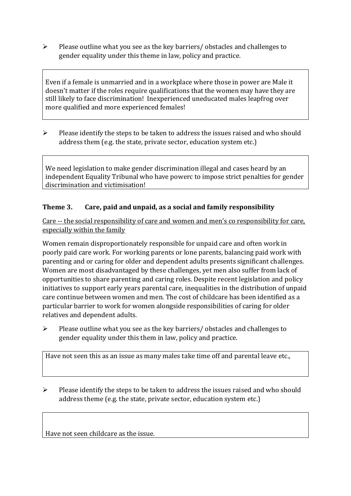➢ Please outline what you see as the key barriers/ obstacles and challenges to gender equality under this theme in law, policy and practice.

Even if a female is unmarried and in a workplace where those in power are Male it doesn't matter if the roles require qualifications that the women may have they are still likely to face discrimination! Inexperienced uneducated males leapfrog over more qualified and more experienced females!

 $\triangleright$  Please identify the steps to be taken to address the issues raised and who should address them (e.g. the state, private sector, education system etc.)

We need legislation to make gender discrimination illegal and cases heard by an independent Equality Tribunal who have powerc to impose strict penalties for gender discrimination and victimisation!

#### **Theme 3. Care, paid and unpaid, as a social and family responsibility**

Care -- the social responsibility of care and women and men's co responsibility for care, especially within the family

Women remain disproportionately responsible for unpaid care and often work in poorly paid care work. For working parents or [lone parents,](https://aran.library.nuigalway.ie/bitstream/handle/10379/6044/Millar_and_Crosse_Activation_Report.pdf?sequence=1&isAllowed=y) balancing paid work with parenting and or caring for older and dependent adults presents significant challenges. Women are [most disadvantaged by these challenges,](https://eige.europa.eu/gender-equality-index/game/IE/W) yet men also suffer from lack of opportunities to share parenting and caring roles. Despite recent legislation and policy initiatives to support early years parental care, [inequalities in the distribution of unpaid](https://www.ihrec.ie/app/uploads/2019/07/Caring-and-Unpaid-Work-in-Ireland_Final.pdf)  [care](https://www.ihrec.ie/app/uploads/2019/07/Caring-and-Unpaid-Work-in-Ireland_Final.pdf) continue between women and men. The cost of childcare has been identified as a particular barrier to work for women alongside responsibilities of caring for older relatives and dependent adults.

➢ Please outline what you see as the key barriers/ obstacles and challenges to gender equality under this them in law, policy and practice.

Have not seen this as an issue as many males take time off and parental leave etc.,

 $\triangleright$  Please identify the steps to be taken to address the issues raised and who should address theme (e.g. the state, private sector, education system etc.)

Have not seen childcare as the issue.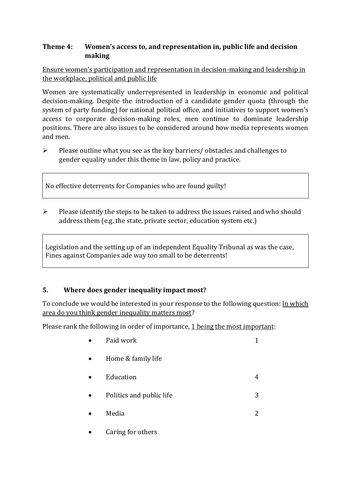#### **Theme 4: Women's access to, and representation in, public life and decision making**

Ensure women's participation and representation in decision-making and leadership in the workplace, political and public life

Women are systematically underrepresented in leadership in [economic](https://eige.europa.eu/gender-equality-index/2019/compare-countries/power/2/bar) and [political](https://eige.europa.eu/gender-equality-index/2019/compare-countries/power/1/bar)  [decision-](https://eige.europa.eu/gender-equality-index/2019/compare-countries/power/1/bar)making. Despite the introduction of a candidate gender quota (through the system of party funding) for national political office, and [initiatives](https://betterbalance.ie/) to support women's access to corporate decision-making roles, men continue to dominate leadership positions. There are also issues to be considered around how media represents women and men.

➢ Please outline what you see as the key barriers/ obstacles and challenges to gender equality under this theme in law, policy and practice.

No effective deterrents for Companies who are found guilty!

➢ Please identify the steps to be taken to address the issues raised and who should address them (e.g. the state, private sector, education system etc.)

Legislation and the setting up of an independent Equality Tribunal as was the case, Fines against Companies ade way too small to be deterrents!

### **5. Where does gender inequality impact most?**

To conclude we would be interested in your response to the following question: In which area do you think gender inequality matters most?

Please rank the following in order of importance, 1 being the most important:

| Paid work                |   |
|--------------------------|---|
| Home & family life       |   |
| Education                |   |
| Politics and public life | 3 |
| Media                    | 2 |
| Caring for others        |   |